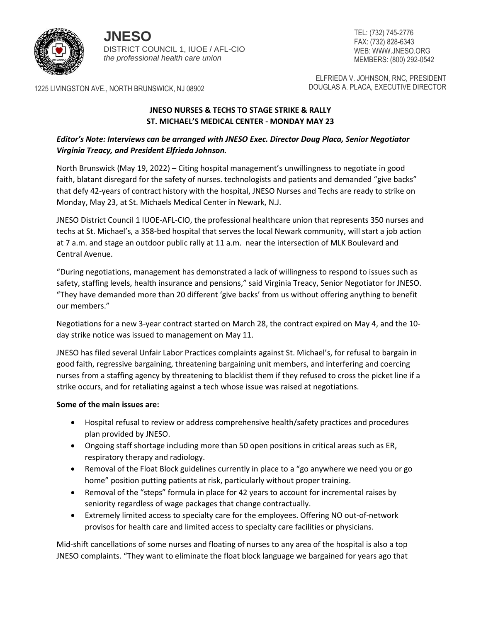

**JNESO** DISTRICT COUNCIL 1, IUOE / AFL-CIO *the professional health care union*

TEL: (732) 745-2776 FAX: (732) 828-6343 WEB: WWW.JNESO.ORG MEMBERS: (800) 292-0542

ELFRIEDA V. JOHNSON, RNC, PRESIDENT

1225 LIVINGSTON AVE., NORTH BRUNSWICK, NJ 08902 DOUGLAS A. PLACA, EXECUTIVE DIRECTOR

## **JNESO NURSES & TECHS TO STAGE STRIKE & RALLY ST. MICHAEL'S MEDICAL CENTER - MONDAY MAY 23**

## *Editor's Note: Interviews can be arranged with JNESO Exec. Director Doug Placa, Senior Negotiator Virginia Treacy, and President Elfrieda Johnson.*

North Brunswick (May 19, 2022) – Citing hospital management's unwillingness to negotiate in good faith, blatant disregard for the safety of nurses. technologists and patients and demanded "give backs" that defy 42-years of contract history with the hospital, JNESO Nurses and Techs are ready to strike on Monday, May 23, at St. Michaels Medical Center in Newark, N.J.

JNESO District Council 1 IUOE-AFL-CIO, the professional healthcare union that represents 350 nurses and techs at St. Michael's, a 358-bed hospital that serves the local Newark community, will start a job action at 7 a.m. and stage an outdoor public rally at 11 a.m. near the intersection of MLK Boulevard and Central Avenue.

"During negotiations, management has demonstrated a lack of willingness to respond to issues such as safety, staffing levels, health insurance and pensions," said Virginia Treacy, Senior Negotiator for JNESO. "They have demanded more than 20 different 'give backs' from us without offering anything to benefit our members."

Negotiations for a new 3-year contract started on March 28, the contract expired on May 4, and the 10 day strike notice was issued to management on May 11.

JNESO has filed several Unfair Labor Practices complaints against St. Michael's, for refusal to bargain in good faith, regressive bargaining, threatening bargaining unit members, and interfering and coercing nurses from a staffing agency by threatening to blacklist them if they refused to cross the picket line if a strike occurs, and for retaliating against a tech whose issue was raised at negotiations.

## **Some of the main issues are:**

- Hospital refusal to review or address comprehensive health/safety practices and procedures plan provided by JNESO.
- Ongoing staff shortage including more than 50 open positions in critical areas such as ER, respiratory therapy and radiology.
- Removal of the Float Block guidelines currently in place to a "go anywhere we need you or go home" position putting patients at risk, particularly without proper training.
- Removal of the "steps" formula in place for 42 years to account for incremental raises by seniority regardless of wage packages that change contractually.
- Extremely limited access to specialty care for the employees. Offering NO out-of-network provisos for health care and limited access to specialty care facilities or physicians.

Mid-shift cancellations of some nurses and floating of nurses to any area of the hospital is also a top JNESO complaints. "They want to eliminate the float block language we bargained for years ago that